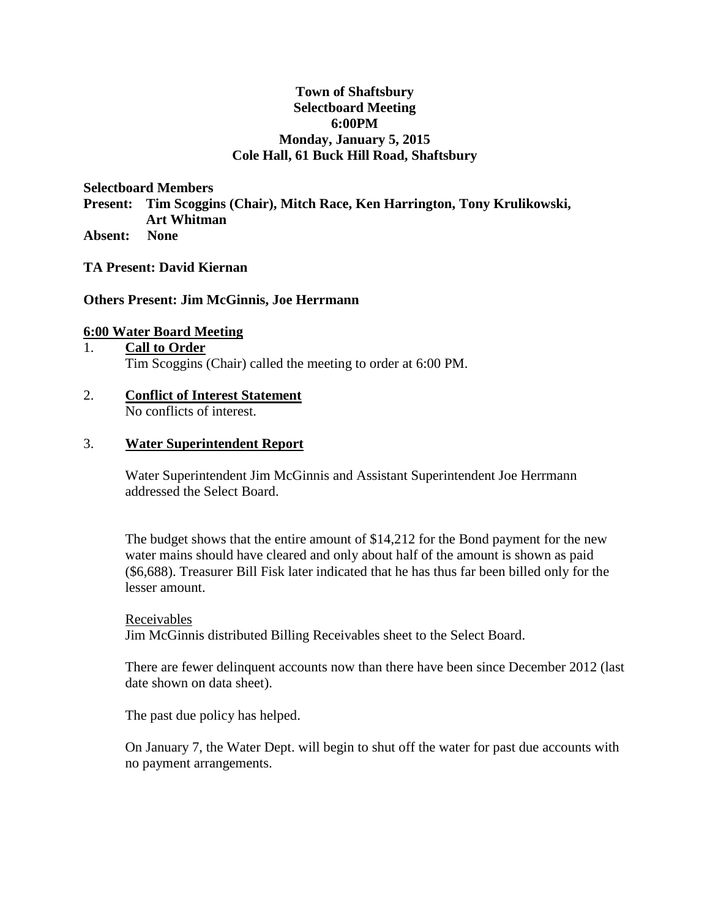# **Town of Shaftsbury Selectboard Meeting 6:00PM Monday, January 5, 2015 Cole Hall, 61 Buck Hill Road, Shaftsbury**

**Selectboard Members** 

**Present: Tim Scoggins (Chair), Mitch Race, Ken Harrington, Tony Krulikowski, Art Whitman**

**Absent: None**

**TA Present: David Kiernan**

## **Others Present: Jim McGinnis, Joe Herrmann**

#### **6:00 Water Board Meeting**

# 1. **Call to Order** Tim Scoggins (Chair) called the meeting to order at 6:00 PM.

## 2. **Conflict of Interest Statement** No conflicts of interest.

## 3. **Water Superintendent Report**

Water Superintendent Jim McGinnis and Assistant Superintendent Joe Herrmann addressed the Select Board.

The budget shows that the entire amount of \$14,212 for the Bond payment for the new water mains should have cleared and only about half of the amount is shown as paid (\$6,688). Treasurer Bill Fisk later indicated that he has thus far been billed only for the lesser amount.

#### Receivables

Jim McGinnis distributed Billing Receivables sheet to the Select Board.

There are fewer delinquent accounts now than there have been since December 2012 (last date shown on data sheet).

The past due policy has helped.

On January 7, the Water Dept. will begin to shut off the water for past due accounts with no payment arrangements.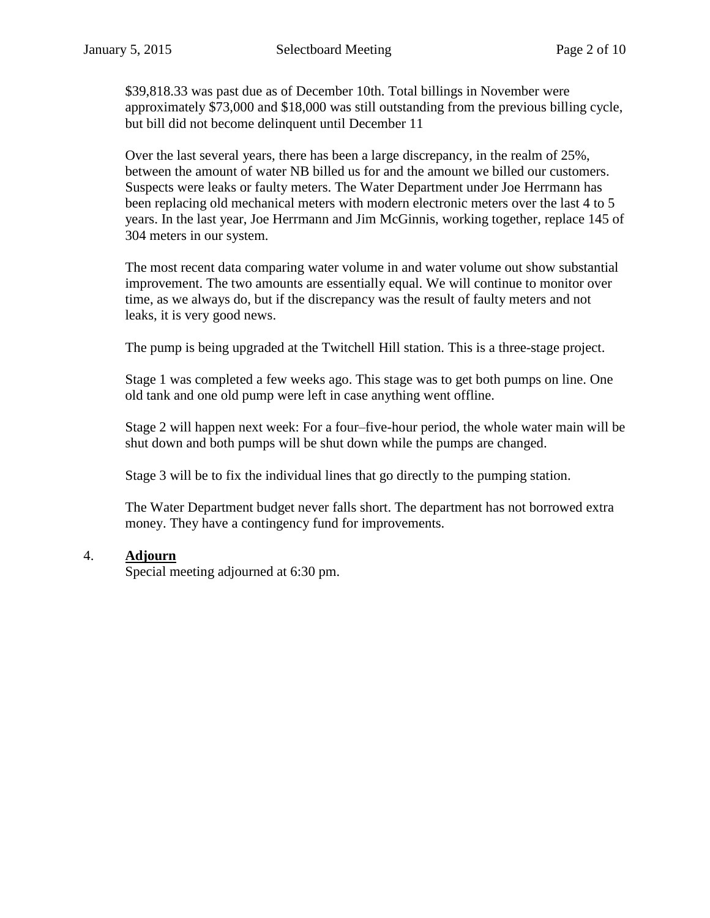\$39,818.33 was past due as of December 10th. Total billings in November were approximately \$73,000 and \$18,000 was still outstanding from the previous billing cycle, but bill did not become delinquent until December 11

Over the last several years, there has been a large discrepancy, in the realm of 25%, between the amount of water NB billed us for and the amount we billed our customers. Suspects were leaks or faulty meters. The Water Department under Joe Herrmann has been replacing old mechanical meters with modern electronic meters over the last 4 to 5 years. In the last year, Joe Herrmann and Jim McGinnis, working together, replace 145 of 304 meters in our system.

The most recent data comparing water volume in and water volume out show substantial improvement. The two amounts are essentially equal. We will continue to monitor over time, as we always do, but if the discrepancy was the result of faulty meters and not leaks, it is very good news.

The pump is being upgraded at the Twitchell Hill station. This is a three-stage project.

Stage 1 was completed a few weeks ago. This stage was to get both pumps on line. One old tank and one old pump were left in case anything went offline.

Stage 2 will happen next week: For a four–five-hour period, the whole water main will be shut down and both pumps will be shut down while the pumps are changed.

Stage 3 will be to fix the individual lines that go directly to the pumping station.

The Water Department budget never falls short. The department has not borrowed extra money. They have a contingency fund for improvements.

## 4. **Adjourn**

Special meeting adjourned at 6:30 pm.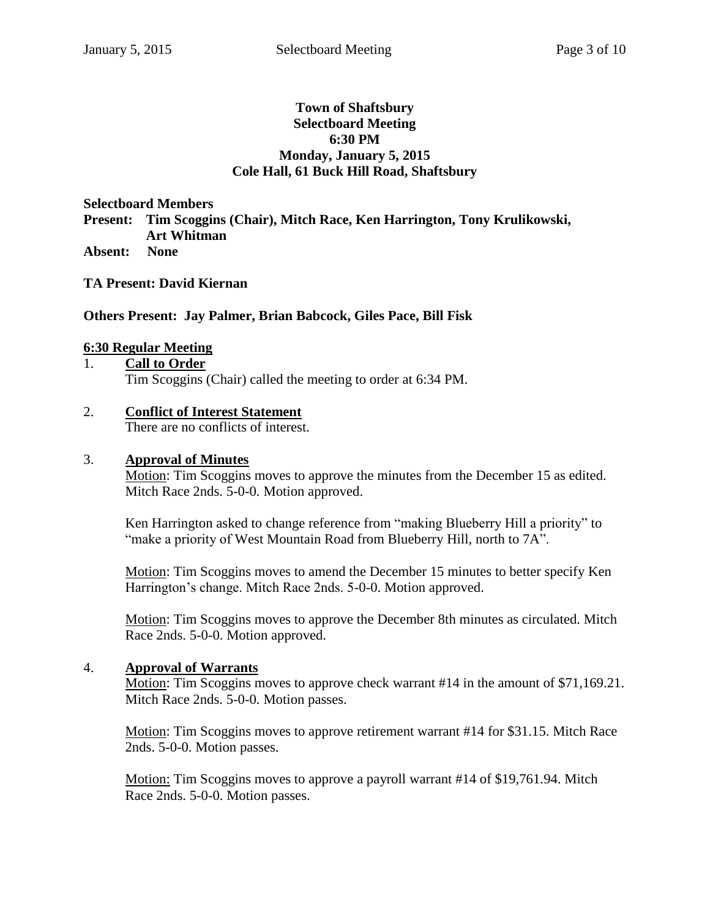## **Town of Shaftsbury Selectboard Meeting 6:30 PM Monday, January 5, 2015 Cole Hall, 61 Buck Hill Road, Shaftsbury**

**Selectboard Members Present: Tim Scoggins (Chair), Mitch Race, Ken Harrington, Tony Krulikowski, Art Whitman Absent: None**

**TA Present: David Kiernan**

# **Others Present: Jay Palmer, Brian Babcock, Giles Pace, Bill Fisk**

# **6:30 Regular Meeting**

1. **Call to Order**

Tim Scoggins (Chair) called the meeting to order at 6:34 PM.

# 2. **Conflict of Interest Statement**

There are no conflicts of interest.

#### 3. **Approval of Minutes**

Motion: Tim Scoggins moves to approve the minutes from the December 15 as edited. Mitch Race 2nds. 5-0-0. Motion approved.

Ken Harrington asked to change reference from "making Blueberry Hill a priority" to "make a priority of West Mountain Road from Blueberry Hill, north to 7A".

Motion: Tim Scoggins moves to amend the December 15 minutes to better specify Ken Harrington's change. Mitch Race 2nds. 5-0-0. Motion approved.

Motion: Tim Scoggins moves to approve the December 8th minutes as circulated. Mitch Race 2nds. 5-0-0. Motion approved.

## 4. **Approval of Warrants**

Motion: Tim Scoggins moves to approve check warrant #14 in the amount of \$71,169.21. Mitch Race 2nds. 5-0-0. Motion passes.

Motion: Tim Scoggins moves to approve retirement warrant #14 for \$31.15. Mitch Race 2nds. 5-0-0. Motion passes.

Motion: Tim Scoggins moves to approve a payroll warrant #14 of \$19,761.94. Mitch Race 2nds. 5-0-0. Motion passes.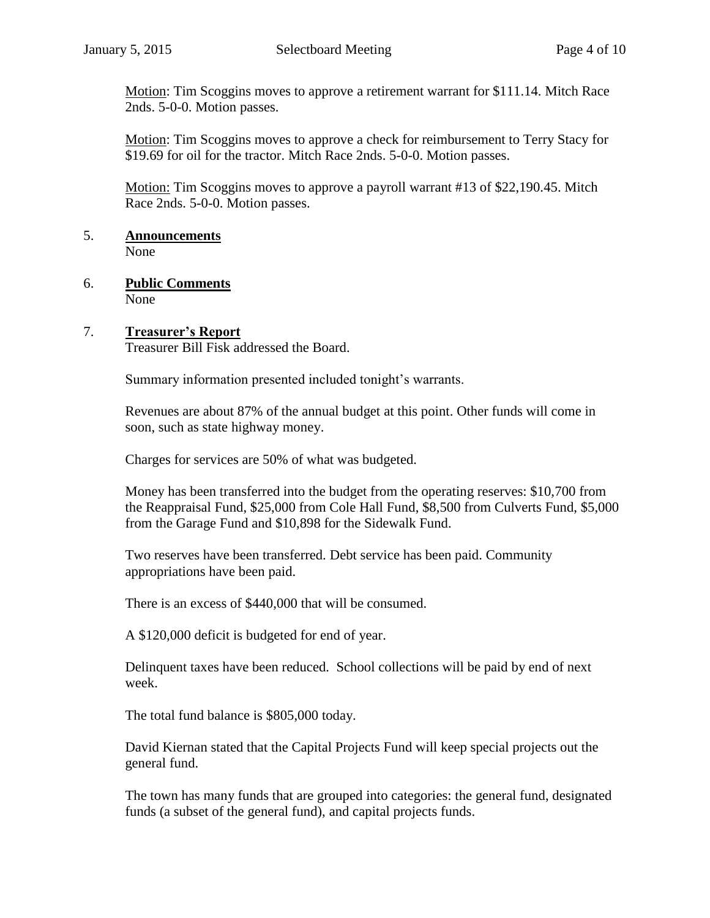Motion: Tim Scoggins moves to approve a retirement warrant for \$111.14. Mitch Race 2nds. 5-0-0. Motion passes.

Motion: Tim Scoggins moves to approve a check for reimbursement to Terry Stacy for \$19.69 for oil for the tractor. Mitch Race 2nds. 5-0-0. Motion passes.

Motion: Tim Scoggins moves to approve a payroll warrant #13 of \$22,190.45. Mitch Race 2nds. 5-0-0. Motion passes.

- 5. **Announcements**  None
- 6. **Public Comments** None

# 7. **Treasurer's Report**

Treasurer Bill Fisk addressed the Board.

Summary information presented included tonight's warrants.

Revenues are about 87% of the annual budget at this point. Other funds will come in soon, such as state highway money.

Charges for services are 50% of what was budgeted.

Money has been transferred into the budget from the operating reserves: \$10,700 from the Reappraisal Fund, \$25,000 from Cole Hall Fund, \$8,500 from Culverts Fund, \$5,000 from the Garage Fund and \$10,898 for the Sidewalk Fund.

Two reserves have been transferred. Debt service has been paid. Community appropriations have been paid.

There is an excess of \$440,000 that will be consumed.

A \$120,000 deficit is budgeted for end of year.

Delinquent taxes have been reduced. School collections will be paid by end of next week.

The total fund balance is \$805,000 today.

David Kiernan stated that the Capital Projects Fund will keep special projects out the general fund.

The town has many funds that are grouped into categories: the general fund, designated funds (a subset of the general fund), and capital projects funds.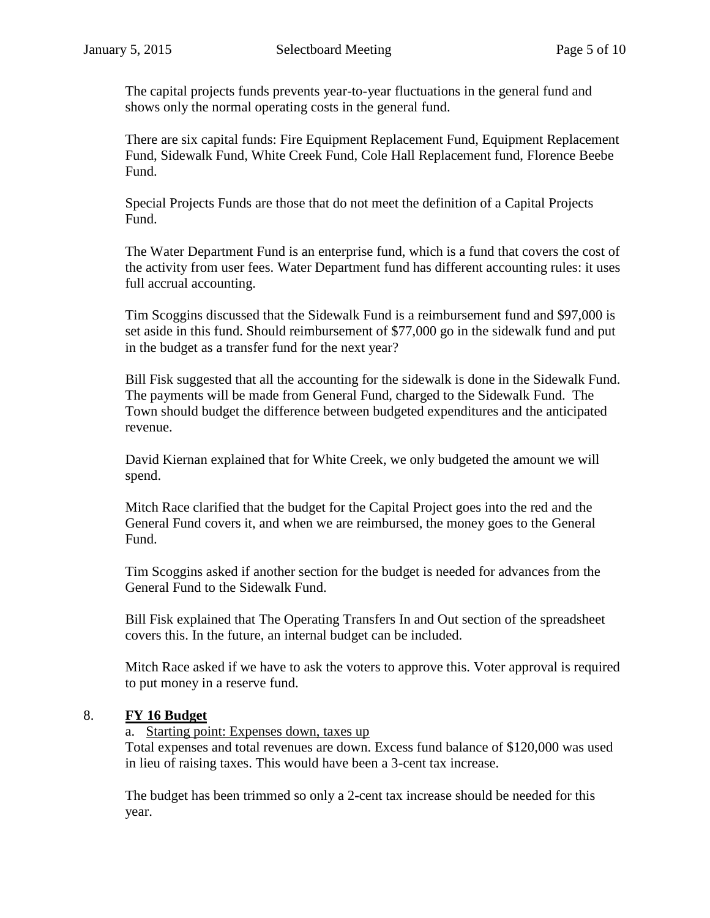The capital projects funds prevents year-to-year fluctuations in the general fund and shows only the normal operating costs in the general fund.

There are six capital funds: Fire Equipment Replacement Fund, Equipment Replacement Fund, Sidewalk Fund, White Creek Fund, Cole Hall Replacement fund, Florence Beebe Fund.

Special Projects Funds are those that do not meet the definition of a Capital Projects Fund.

The Water Department Fund is an enterprise fund, which is a fund that covers the cost of the activity from user fees. Water Department fund has different accounting rules: it uses full accrual accounting.

Tim Scoggins discussed that the Sidewalk Fund is a reimbursement fund and \$97,000 is set aside in this fund. Should reimbursement of \$77,000 go in the sidewalk fund and put in the budget as a transfer fund for the next year?

Bill Fisk suggested that all the accounting for the sidewalk is done in the Sidewalk Fund. The payments will be made from General Fund, charged to the Sidewalk Fund. The Town should budget the difference between budgeted expenditures and the anticipated revenue.

David Kiernan explained that for White Creek, we only budgeted the amount we will spend.

Mitch Race clarified that the budget for the Capital Project goes into the red and the General Fund covers it, and when we are reimbursed, the money goes to the General Fund.

Tim Scoggins asked if another section for the budget is needed for advances from the General Fund to the Sidewalk Fund.

Bill Fisk explained that The Operating Transfers In and Out section of the spreadsheet covers this. In the future, an internal budget can be included.

Mitch Race asked if we have to ask the voters to approve this. Voter approval is required to put money in a reserve fund.

# 8. **FY 16 Budget**

a. Starting point: Expenses down, taxes up

Total expenses and total revenues are down. Excess fund balance of \$120,000 was used in lieu of raising taxes. This would have been a 3-cent tax increase.

The budget has been trimmed so only a 2-cent tax increase should be needed for this year.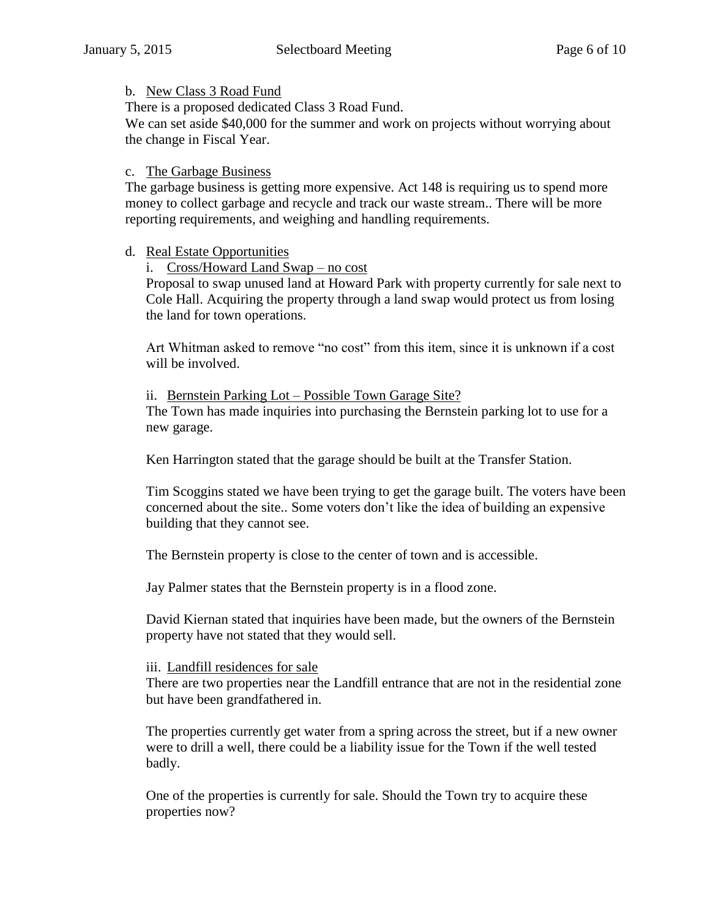# b. New Class 3 Road Fund

There is a proposed dedicated Class 3 Road Fund.

We can set aside \$40,000 for the summer and work on projects without worrying about the change in Fiscal Year.

# c. The Garbage Business

The garbage business is getting more expensive. Act 148 is requiring us to spend more money to collect garbage and recycle and track our waste stream.. There will be more reporting requirements, and weighing and handling requirements.

# d. Real Estate Opportunities

i. Cross/Howard Land Swap – no cost

Proposal to swap unused land at Howard Park with property currently for sale next to Cole Hall. Acquiring the property through a land swap would protect us from losing the land for town operations.

Art Whitman asked to remove "no cost" from this item, since it is unknown if a cost will be involved.

ii. Bernstein Parking Lot – Possible Town Garage Site? The Town has made inquiries into purchasing the Bernstein parking lot to use for a new garage.

Ken Harrington stated that the garage should be built at the Transfer Station.

Tim Scoggins stated we have been trying to get the garage built. The voters have been concerned about the site.. Some voters don't like the idea of building an expensive building that they cannot see.

The Bernstein property is close to the center of town and is accessible.

Jay Palmer states that the Bernstein property is in a flood zone.

David Kiernan stated that inquiries have been made, but the owners of the Bernstein property have not stated that they would sell.

## iii. Landfill residences for sale

There are two properties near the Landfill entrance that are not in the residential zone but have been grandfathered in.

The properties currently get water from a spring across the street, but if a new owner were to drill a well, there could be a liability issue for the Town if the well tested badly.

One of the properties is currently for sale. Should the Town try to acquire these properties now?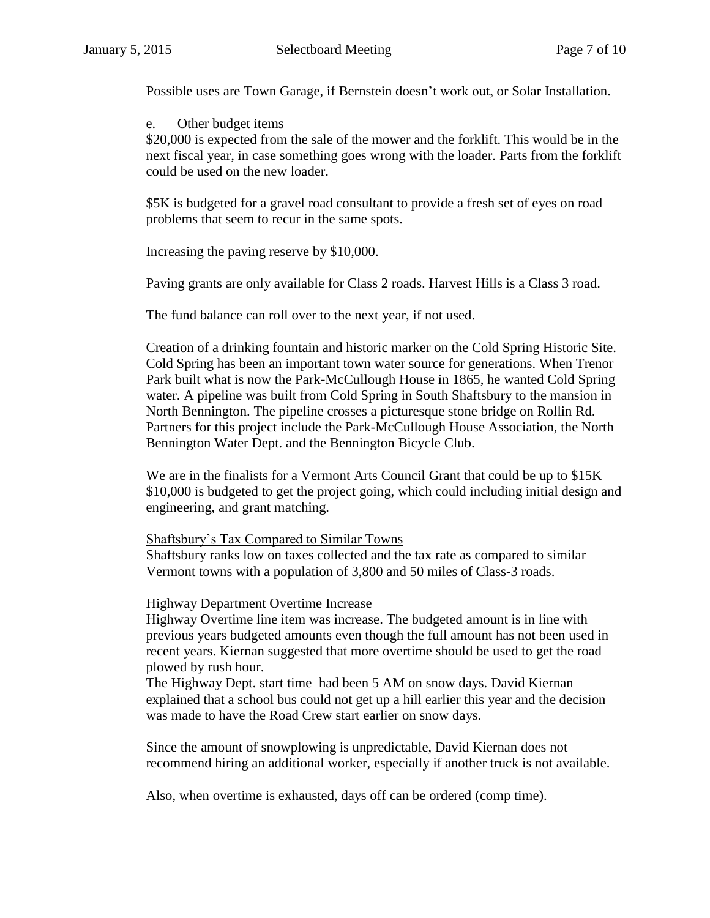Possible uses are Town Garage, if Bernstein doesn't work out, or Solar Installation.

#### e. Other budget items

\$20,000 is expected from the sale of the mower and the forklift. This would be in the next fiscal year, in case something goes wrong with the loader. Parts from the forklift could be used on the new loader.

\$5K is budgeted for a gravel road consultant to provide a fresh set of eyes on road problems that seem to recur in the same spots.

Increasing the paving reserve by \$10,000.

Paving grants are only available for Class 2 roads. Harvest Hills is a Class 3 road.

The fund balance can roll over to the next year, if not used.

Creation of a drinking fountain and historic marker on the Cold Spring Historic Site. Cold Spring has been an important town water source for generations. When Trenor Park built what is now the Park-McCullough House in 1865, he wanted Cold Spring water. A pipeline was built from Cold Spring in South Shaftsbury to the mansion in North Bennington. The pipeline crosses a picturesque stone bridge on Rollin Rd. Partners for this project include the Park-McCullough House Association, the North Bennington Water Dept. and the Bennington Bicycle Club.

We are in the finalists for a Vermont Arts Council Grant that could be up to \$15K \$10,000 is budgeted to get the project going, which could including initial design and engineering, and grant matching.

## Shaftsbury's Tax Compared to Similar Towns

Shaftsbury ranks low on taxes collected and the tax rate as compared to similar Vermont towns with a population of 3,800 and 50 miles of Class-3 roads.

## Highway Department Overtime Increase

Highway Overtime line item was increase. The budgeted amount is in line with previous years budgeted amounts even though the full amount has not been used in recent years. Kiernan suggested that more overtime should be used to get the road plowed by rush hour.

The Highway Dept. start time had been 5 AM on snow days. David Kiernan explained that a school bus could not get up a hill earlier this year and the decision was made to have the Road Crew start earlier on snow days.

Since the amount of snowplowing is unpredictable, David Kiernan does not recommend hiring an additional worker, especially if another truck is not available.

Also, when overtime is exhausted, days off can be ordered (comp time).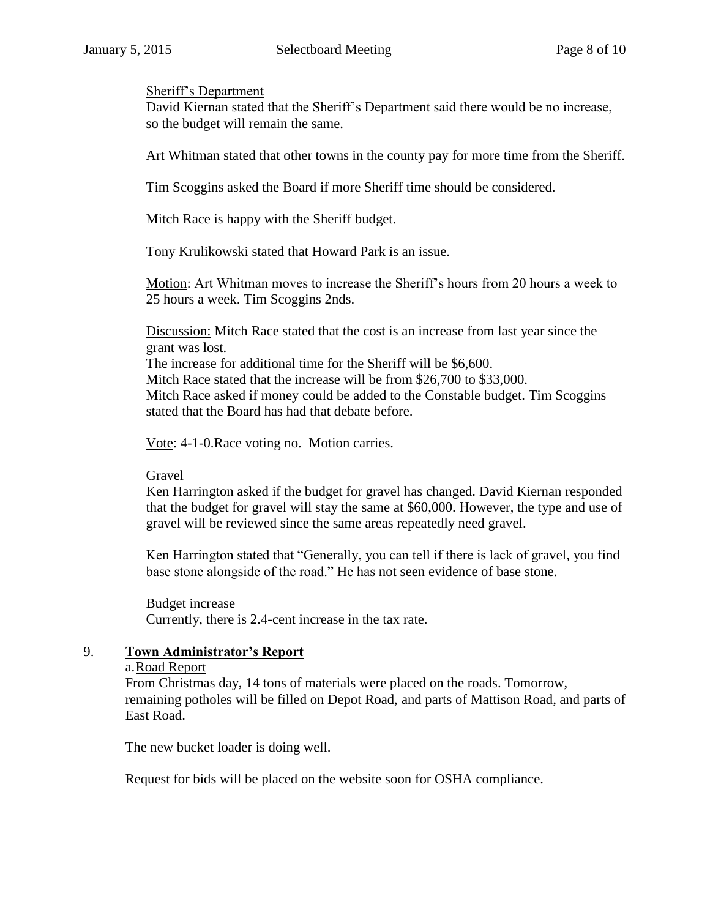#### Sheriff's Department

David Kiernan stated that the Sheriff's Department said there would be no increase, so the budget will remain the same.

Art Whitman stated that other towns in the county pay for more time from the Sheriff.

Tim Scoggins asked the Board if more Sheriff time should be considered.

Mitch Race is happy with the Sheriff budget.

Tony Krulikowski stated that Howard Park is an issue.

Motion: Art Whitman moves to increase the Sheriff's hours from 20 hours a week to 25 hours a week. Tim Scoggins 2nds.

Discussion: Mitch Race stated that the cost is an increase from last year since the grant was lost.

The increase for additional time for the Sheriff will be \$6,600. Mitch Race stated that the increase will be from \$26,700 to \$33,000. Mitch Race asked if money could be added to the Constable budget. Tim Scoggins stated that the Board has had that debate before.

Vote: 4-1-0.Race voting no. Motion carries.

## Gravel

Ken Harrington asked if the budget for gravel has changed. David Kiernan responded that the budget for gravel will stay the same at \$60,000. However, the type and use of gravel will be reviewed since the same areas repeatedly need gravel.

Ken Harrington stated that "Generally, you can tell if there is lack of gravel, you find base stone alongside of the road." He has not seen evidence of base stone.

## Budget increase

Currently, there is 2.4-cent increase in the tax rate.

## 9. **Town Administrator's Report**

#### a.Road Report

From Christmas day, 14 tons of materials were placed on the roads. Tomorrow, remaining potholes will be filled on Depot Road, and parts of Mattison Road, and parts of East Road.

The new bucket loader is doing well.

Request for bids will be placed on the website soon for OSHA compliance.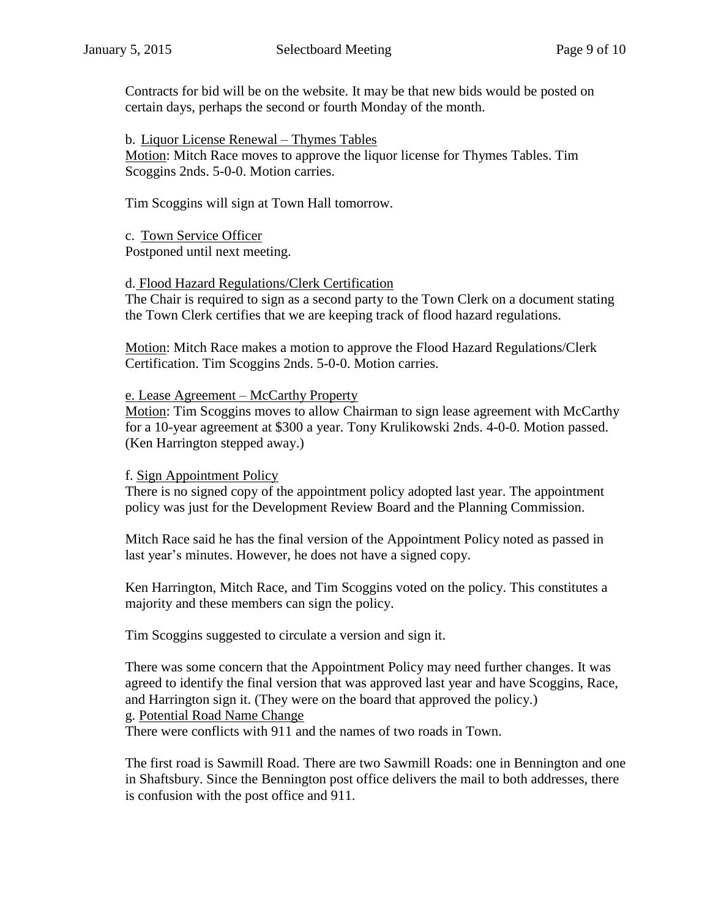Contracts for bid will be on the website. It may be that new bids would be posted on certain days, perhaps the second or fourth Monday of the month.

b. Liquor License Renewal – Thymes Tables Motion: Mitch Race moves to approve the liquor license for Thymes Tables. Tim Scoggins 2nds. 5-0-0. Motion carries.

Tim Scoggins will sign at Town Hall tomorrow.

c. Town Service Officer Postponed until next meeting.

# d. Flood Hazard Regulations/Clerk Certification

The Chair is required to sign as a second party to the Town Clerk on a document stating the Town Clerk certifies that we are keeping track of flood hazard regulations.

Motion: Mitch Race makes a motion to approve the Flood Hazard Regulations/Clerk Certification. Tim Scoggins 2nds. 5-0-0. Motion carries.

# e. Lease Agreement – McCarthy Property

Motion: Tim Scoggins moves to allow Chairman to sign lease agreement with McCarthy for a 10-year agreement at \$300 a year. Tony Krulikowski 2nds. 4-0-0. Motion passed. (Ken Harrington stepped away.)

# f. Sign Appointment Policy

There is no signed copy of the appointment policy adopted last year. The appointment policy was just for the Development Review Board and the Planning Commission.

Mitch Race said he has the final version of the Appointment Policy noted as passed in last year's minutes. However, he does not have a signed copy.

Ken Harrington, Mitch Race, and Tim Scoggins voted on the policy. This constitutes a majority and these members can sign the policy.

Tim Scoggins suggested to circulate a version and sign it.

There was some concern that the Appointment Policy may need further changes. It was agreed to identify the final version that was approved last year and have Scoggins, Race, and Harrington sign it. (They were on the board that approved the policy.) g. Potential Road Name Change There were conflicts with 911 and the names of two roads in Town.

The first road is Sawmill Road. There are two Sawmill Roads: one in Bennington and one in Shaftsbury. Since the Bennington post office delivers the mail to both addresses, there is confusion with the post office and 911.